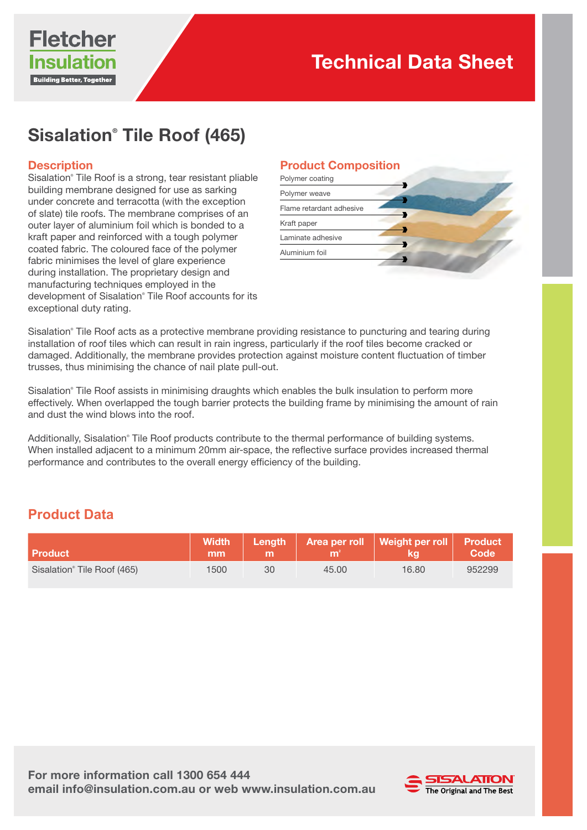

# Sisalation® Tile Roof (465)

#### **Description**

Sisalation® Tile Roof is a strong, tear resistant pliable building membrane designed for use as sarking under concrete and terracotta (with the exception of slate) tile roofs. The membrane comprises of an outer layer of aluminium foil which is bonded to a kraft paper and reinforced with a tough polymer coated fabric. The coloured face of the polymer fabric minimises the level of glare experience during installation. The proprietary design and manufacturing techniques employed in the development of Sisalation® Tile Roof accounts for its exceptional duty rating.

#### Product Composition

| Polymer coating          |  |
|--------------------------|--|
| Polymer weave            |  |
| Flame retardant adhesive |  |
| Kraft paper              |  |
| Laminate adhesive        |  |
| Aluminium foil           |  |

Sisalation® Tile Roof acts as a protective membrane providing resistance to puncturing and tearing during installation of roof tiles which can result in rain ingress, particularly if the roof tiles become cracked or damaged. Additionally, the membrane provides protection against moisture content fluctuation of timber trusses, thus minimising the chance of nail plate pull-out.

Sisalation® Tile Roof assists in minimising draughts which enables the bulk insulation to perform more effectively. When overlapped the tough barrier protects the building frame by minimising the amount of rain and dust the wind blows into the roof.

Additionally, Sisalation® Tile Roof products contribute to the thermal performance of building systems. When installed adjacent to a minimum 20mm air-space, the reflective surface provides increased thermal performance and contributes to the overall energy efficiency of the building.

### **Product Data**

| <b>Product</b>                          | mm   |    |       | Width   Length   Area per roll   Weight per roll   Product | Code   |
|-----------------------------------------|------|----|-------|------------------------------------------------------------|--------|
| Sisalation <sup>®</sup> Tile Roof (465) | 1500 | 30 | 45.00 | 16.80                                                      | 952299 |

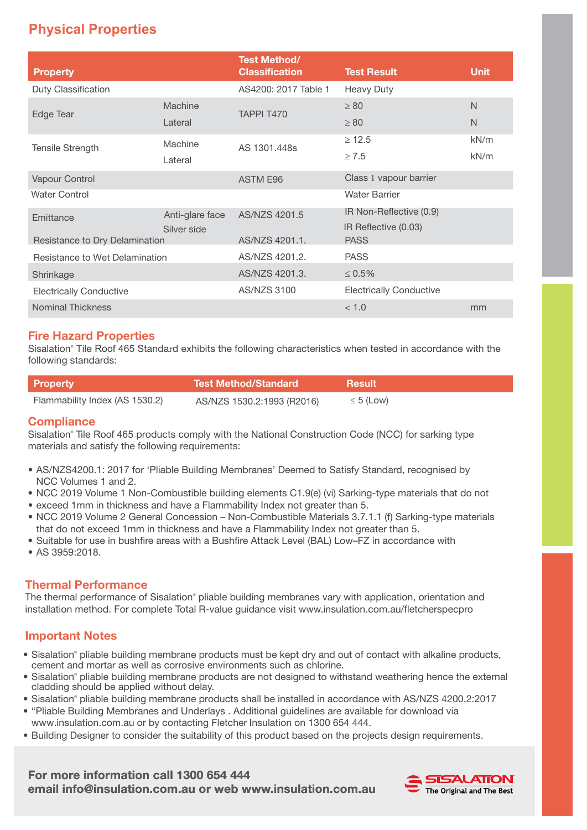## **Physical Properties**

| <b>Property</b>                |                 | <b>Test Method/</b><br><b>Classification</b> | <b>Test Result</b>                  | <b>Unit</b> |
|--------------------------------|-----------------|----------------------------------------------|-------------------------------------|-------------|
| Duty Classification            |                 | AS4200: 2017 Table 1                         | Heavy Duty                          |             |
| Edge Tear                      | Machine         | TAPPI T470                                   | $\geq 80$                           | N           |
|                                | Lateral         |                                              | $\geq 80$                           | N           |
| <b>Tensile Strength</b>        | Machine         | AS 1301.448s                                 | $\geq 12.5$                         | kN/m        |
|                                | Lateral         |                                              | $\geq 7.5$                          | kN/m        |
| Vapour Control                 |                 | ASTM E96                                     | Class 1 vapour barrier              |             |
| <b>Water Control</b>           |                 |                                              | <b>Water Barrier</b>                |             |
| Emittance                      | Anti-glare face | AS/NZS 4201.5                                | IR Non-Reflective (0.9)             |             |
| Resistance to Dry Delamination | Silver side     | AS/NZS 4201.1.                               | IR Reflective (0.03)<br><b>PASS</b> |             |
| Resistance to Wet Delamination |                 | AS/NZS 4201.2.                               | <b>PASS</b>                         |             |
| Shrinkage                      |                 | AS/NZS 4201.3.                               | $\leq 0.5\%$                        |             |
| <b>Electrically Conductive</b> |                 | AS/NZS 3100                                  | <b>Electrically Conductive</b>      |             |
| <b>Nominal Thickness</b>       |                 |                                              | < 1.0                               | mm          |

#### Fire Hazard Properties

Sisalation® Tile Roof 465 Standard exhibits the following characteristics when tested in accordance with the following standards:

| <b>Property</b>                | NTest Method/Standard \    | <b>Result</b>  |
|--------------------------------|----------------------------|----------------|
| Flammability Index (AS 1530.2) | AS/NZS 1530.2:1993 (R2016) | $\leq 5$ (Low) |

#### **Compliance**

Sisalation® Tile Roof 465 products comply with the National Construction Code (NCC) for sarking type materials and satisfy the following requirements:

- AS/NZS4200.1: 2017 for 'Pliable Building Membranes' Deemed to Satisfy Standard, recognised by NCC Volumes 1 and 2.
- NCC 2019 Volume 1 Non-Combustible building elements C1.9(e) (vi) Sarking-type materials that do not
- exceed 1mm in thickness and have a Flammability Index not greater than 5.
- NCC 2019 Volume 2 General Concession Non-Combustible Materials 3.7.1.1 (f) Sarking-type materials that do not exceed 1mm in thickness and have a Flammability Index not greater than 5.
- Suitable for use in bushfire areas with a Bushfire Attack Level (BAL) Low–FZ in accordance with
- AS 3959:2018.

#### Thermal Performance

The thermal performance of Sisalation® pliable building membranes vary with application, orientation and installation method. For complete Total R-value guidance visit www.insulation.com.au/fletcherspecpro

#### Important Notes

- Sisalation® pliable building membrane products must be kept dry and out of contact with alkaline products, cement and mortar as well as corrosive environments such as chlorine.
- Sisalation® pliable building membrane products are not designed to withstand weathering hence the external cladding should be applied without delay.
- Sisalation® pliable building membrane products shall be installed in accordance with AS/NZS 4200.2:2017
- "Pliable Building Membranes and Underlays . Additional guidelines are available for download via www.insulation.com.au or by contacting Fletcher Insulation on 1300 654 444.
- Building Designer to consider the suitability of this product based on the projects design requirements.

#### For more information call 1300 654 444 email info@insulation.com.au or web www.insulation.com.au